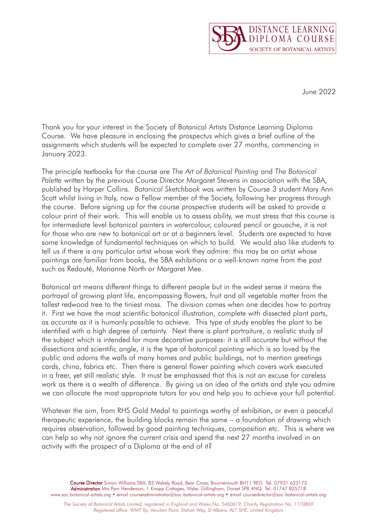

June 2022

Thank you for your interest in the Society of Botanical Artists Distance Learning Diploma Course. We have pleasure in enclosing the prospectus which gives a brief outline of the assignments which students will be expected to complete over 27 months, commencing in January 2023.

The principle textbooks for the course are *The Art of Botanical Painting* and *The Botanical Palette* written by the previous Course Director Margaret Stevens in association with the SBA, published by Harper Collins. *Botanical Sketchbook* was written by Course 3 student Mary Ann Scott whilst living in Italy, now a Fellow member of the Society, following her progress through the course. Before signing up for the course prospective students will be asked to provide a colour print of their work. This will enable us to assess ability, we must stress that this course is for intermediate level botanical painters in watercolour, coloured pencil or gouache, it is not for those who are new to botanical art or at a beginners level. Students are expected to have some knowledge of fundamental techniques on which to build. We would also like students to tell us if there is any particular artist whose work they admire: this may be an artist whose paintings are familiar from books, the SBA exhibitions or a well-known name from the past such as Redouté, Marianne North or Margaret Mee.

Botanical art means different things to different people but in the widest sense it means the portrayal of growing plant life, encompassing flowers, fruit and all vegetable matter from the tallest redwood tree to the tiniest moss. The division comes when one decides how to portray it. First we have the most scientific botanical illustration, complete with dissected plant parts, as accurate as it is humanly possible to achieve. This type of study enables the plant to be identified with a high degree of certainty. Next there is plant portraiture, a realistic study of the subject which is intended for more decorative purposes: it is still accurate but without the dissections and scientific angle, it is the type of botanical painting which is so loved by the public and adorns the walls of many homes and public buildings, not to mention greetings cards, china, fabrics etc. Then there is general flower painting which covers work executed in a freer, yet still realistic style. It must be emphasised that this is not an excuse for careless work as there is a wealth of difference. By giving us an idea of the artists and style you admire we can allocate the most appropriate tutors for you and help you to achieve your full potential.

Whatever the aim, from RHS Gold Medal to paintings worthy of exhibition, or even a peaceful therapeutic experience, the building blocks remain the same – a foundation of drawing which requires observation, followed by good painting techniques, composition etc. This is where we can help so why not ignore the current crisis and spend the next 27 months involved in an activity with the prospect of a Diploma at the end of it?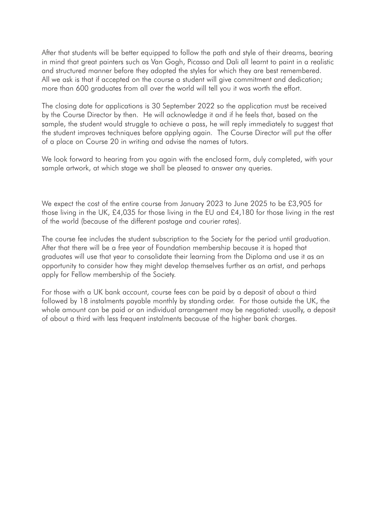After that students will be better equipped to follow the path and style of their dreams, bearing in mind that great painters such as Van Gogh, Picasso and Dali all learnt to paint in a realistic and structured manner before they adopted the styles for which they are best remembered. All we ask is that if accepted on the course a student will give commitment and dedication; more than 600 graduates from all over the world will tell you it was worth the effort.

The closing date for applications is 30 September 2022 so the application must be received by the Course Director by then. He will acknowledge it and if he feels that, based on the sample, the student would struggle to achieve a pass, he will reply immediately to suggest that the student improves techniques before applying again. The Course Director will put the offer of a place on Course 20 in writing and advise the names of tutors.

We look forward to hearing from you again with the enclosed form, duly completed, with your sample artwork, at which stage we shall be pleased to answer any queries.

We expect the cost of the entire course from January 2023 to June 2025 to be £3,905 for those living in the UK, £4,035 for those living in the EU and £4,180 for those living in the rest of the world (because of the different postage and courier rates).

The course fee includes the student subscription to the Society for the period until graduation. After that there will be a free year of Foundation membership because it is hoped that graduates will use that year to consolidate their learning from the Diploma and use it as an opportunity to consider how they might develop themselves further as an artist, and perhaps apply for Fellow membership of the Society.

For those with a UK bank account, course fees can be paid by a deposit of about a third followed by 18 instalments payable monthly by standing order. For those outside the UK, the whole amount can be paid or an individual arrangement may be negotiated: usually, a deposit of about a third with less frequent instalments because of the higher bank charges.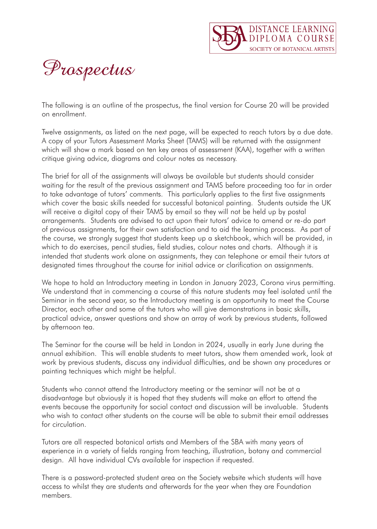



The following is an outline of the prospectus, the final version for Course 20 will be provided on enrollment.

Twelve assignments, as listed on the next page, will be expected to reach tutors by a due date. A copy of your Tutors Assessment Marks Sheet (TAMS) will be returned with the assignment which will show a mark based on ten key areas of assessment (KAA), together with a written critique giving advice, diagrams and colour notes as necessary.

The brief for all of the assignments will always be available but students should consider waiting for the result of the previous assignment and TAMS before proceeding too far in order to take advantage of tutors' comments. This particularly applies to the first five assignments which cover the basic skills needed for successful botanical painting. Students outside the UK will receive a digital copy of their TAMS by email so they will not be held up by postal arrangements. Students are advised to act upon their tutors' advice to amend or re-do part of previous assignments, for their own satisfaction and to aid the learning process. As part of the course, we strongly suggest that students keep up a sketchbook, which will be provided, in which to do exercises, pencil studies, field studies, colour notes and charts. Although it is intended that students work alone on assignments, they can telephone or email their tutors at designated times throughout the course for initial advice or clarification on assignments.

We hope to hold an Introductory meeting in London in January 2023, Corona virus permitting. We understand that in commencing a course of this nature students may feel isolated until the Seminar in the second year, so the Introductory meeting is an opportunity to meet the Course Director, each other and some of the tutors who will give demonstrations in basic skills, practical advice, answer questions and show an array of work by previous students, followed by afternoon tea.

The Seminar for the course will be held in London in 2024, usually in early June during the annual exhibition. This will enable students to meet tutors, show them amended work, look at work by previous students, discuss any individual difficulties, and be shown any procedures or painting techniques which might be helpful.

Students who cannot attend the Introductory meeting or the seminar will not be at a disadvantage but obviously it is hoped that they students will make an effort to attend the events because the opportunity for social contact and discussion will be invaluable. Students who wish to contact other students on the course will be able to submit their email addresses for circulation.

Tutors are all respected botanical artists and Members of the SBA with many years of experience in a variety of fields ranging from teaching, illustration, botany and commercial design. All have individual CVs available for inspection if requested.

There is a password-protected student area on the Society website which students will have access to whilst they are students and afterwards for the year when they are Foundation members.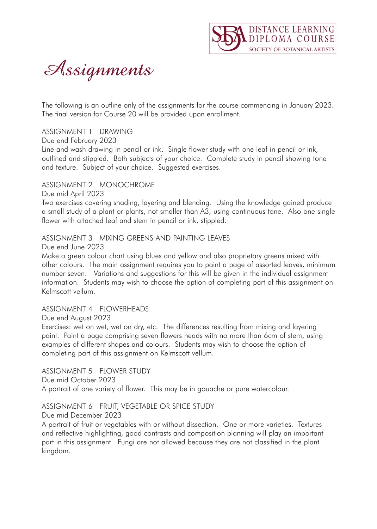



The following is an outline only of the assignments for the course commencing in January 2023. The final version for Course 20 will be provided upon enrollment.

## ASSIGNMENT 1 DRAWING

Due end February 2023

Line and wash drawing in pencil or ink. Single flower study with one leaf in pencil or ink, outlined and stippled. Both subjects of your choice. Complete study in pencil showing tone and texture. Subject of your choice. Suggested exercises.

## ASSIGNMENT 2 MONOCHROME

Due mid April 2023

Two exercises covering shading, layering and blending. Using the knowledge gained produce a small study of a plant or plants, not smaller than A3, using continuous tone. Also one single flower with attached leaf and stem in pencil or ink, stippled.

## ASSIGNMENT 3 MIXING GREENS AND PAINTING LEAVES

Due end June 2023

Make a green colour chart using blues and yellow and also proprietary greens mixed with other colours. The main assignment requires you to paint a page of assorted leaves, minimum number seven. Variations and suggestions for this will be given in the individual assignment information. Students may wish to choose the option of completing part of this assignment on Kelmscott vellum.

#### ASSIGNMENT 4 FLOWERHEADS

Due end August 2023

Exercises: wet on wet, wet on dry, etc. The differences resulting from mixing and layering paint. Paint a page comprising seven flowers heads with no more than 6cm of stem, using examples of different shapes and colours. Students may wish to choose the option of completing part of this assignment on Kelmscott vellum.

ASSIGNMENT 5 FLOWER STUDY

Due mid October 2023

A portrait of one variety of flower. This may be in gouache or pure watercolour.

# ASSIGNMENT 6 FRUIT, VEGETABLE OR SPICE STUDY

Due mid December 2023

A portrait of fruit or vegetables with or without dissection. One or more varieties. Textures and reflective highlighting, good contrasts and composition planning will play an important part in this assignment. Fungi are not allowed because they are not classified in the plant kingdom.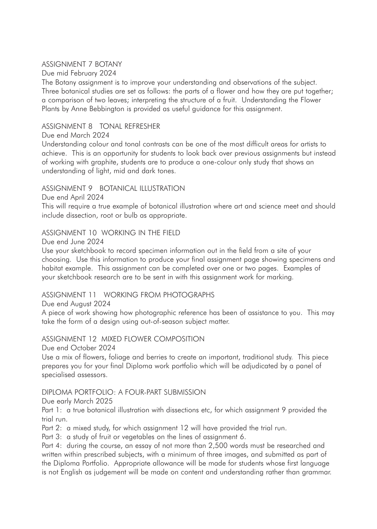## ASSIGNMENT 7 BOTANY

Due mid February 2024

The Botany assignment is to improve your understanding and observations of the subject. Three botanical studies are set as follows: the parts of a flower and how they are put together; a comparison of two leaves; interpreting the structure of a fruit. Understanding the Flower Plants by Anne Bebbington is provided as useful guidance for this assignment.

## ASSIGNMENT 8 TONAL REFRESHER

## Due end March 2024

Understanding colour and tonal contrasts can be one of the most difficult areas for artists to achieve. This is an opportunity for students to look back over previous assignments but instead of working with graphite, students are to produce a one-colour only study that shows an understanding of light, mid and dark tones.

## ASSIGNMENT 9 BOTANICAL ILLUSTRATION

Due end April 2024

This will require a true example of botanical illustration where art and science meet and should include dissection, root or bulb as appropriate.

## ASSIGNMENT 10 WORKING IN THE FIELD

Due end June 2024

Use your sketchbook to record specimen information out in the field from a site of your choosing. Use this information to produce your final assignment page showing specimens and habitat example. This assignment can be completed over one or two pages. Examples of your sketchbook research are to be sent in with this assignment work for marking.

## ASSIGNMENT 11 WORKING FROM PHOTOGRAPHS

Due end August 2024

A piece of work showing how photographic reference has been of assistance to you. This may take the form of a design using out-of-season subject matter.

## ASSIGNMENT 12 MIXED FLOWER COMPOSITION

Due end October 2024

Use a mix of flowers, foliage and berries to create an important, traditional study. This piece prepares you for your final Diploma work portfolio which will be adjudicated by a panel of specialised assessors.

## DIPLOMA PORTFOLIO: A FOUR-PART SUBMISSION

Due early March 2025

Part 1: a true botanical illustration with dissections etc, for which assignment 9 provided the trial run.

Part 2: a mixed study, for which assignment 12 will have provided the trial run.

Part 3: a study of fruit or vegetables on the lines of assignment 6.

Part 4: during the course, an essay of not more than 2,500 words must be researched and written within prescribed subjects, with a minimum of three images, and submitted as part of the Diploma Portfolio. Appropriate allowance will be made for students whose first language is not English as judgement will be made on content and understanding rather than grammar.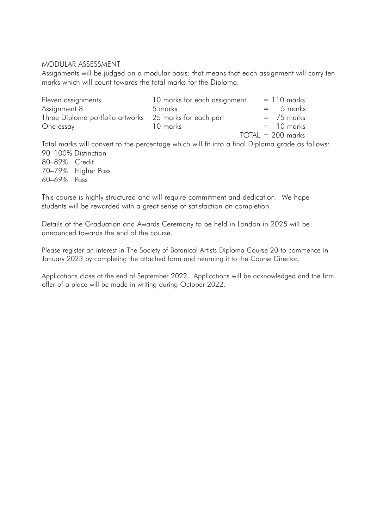### MODULAR ASSESSMENT

Assignments will be judged on a modular basis: that means that each assignment will carry ten marks which will count towards the total marks for the Diploma.

| Eleven assignments                                      | 10 marks for each assignment                                                                     | $= 110$ marks       |
|---------------------------------------------------------|--------------------------------------------------------------------------------------------------|---------------------|
| Assignment 8                                            | 5 marks                                                                                          | $= 5$ marks         |
| Three Diploma portfolio artworks 25 marks for each part |                                                                                                  | $= 75$ marks        |
| One essay                                               | 10 marks                                                                                         | $=$ 10 marks        |
|                                                         |                                                                                                  | $TOTAL = 200$ marks |
|                                                         | Total marks will convert to the percentage which will fit into a final Diploma grade as follows: |                     |
| 90-100% Distinction                                     |                                                                                                  |                     |
| 80-89% Credit                                           |                                                                                                  |                     |
| 70-79% Higher Pass                                      |                                                                                                  |                     |
| 60-69% Pass                                             |                                                                                                  |                     |

This course is highly structured and will require commitment and dedication. We hope students will be rewarded with a great sense of satisfaction on completion.

Details of the Graduation and Awards Ceremony to be held in London in 2025 will be announced towards the end of the course.

Please register an interest in The Society of Botanical Artists Diploma Course 20 to commence in January 2023 by completing the attached form and returning it to the Course Director.

Applications close at the end of September 2022. Applications will be acknowledged and the firm offer of a place will be made in writing during October 2022.